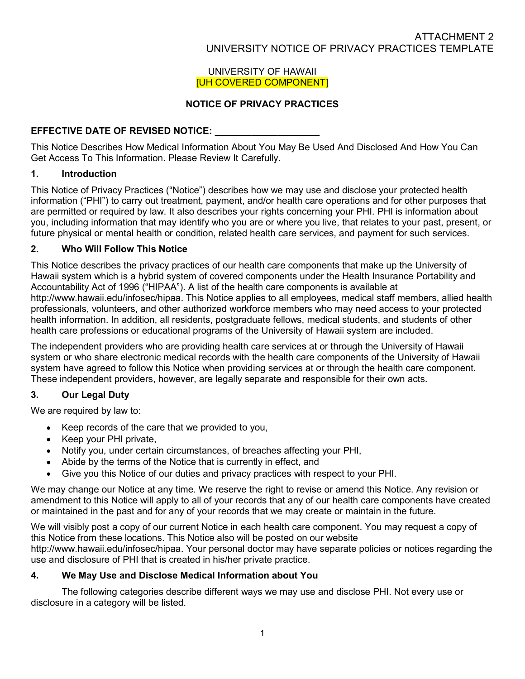#### UNIVERSITY OF HAWAII [UH COVERED COMPONENT]

# NOTICE OF PRIVACY PRACTICES

## EFFECTIVE DATE OF REVISED NOTICE: \_\_\_\_\_\_\_\_\_\_\_\_\_\_\_\_\_\_\_\_

This Notice Describes How Medical Information About You May Be Used And Disclosed And How You Can Get Access To This Information. Please Review It Carefully.

# 1. Introduction

This Notice of Privacy Practices ("Notice") describes how we may use and disclose your protected health information ("PHI") to carry out treatment, payment, and/or health care operations and for other purposes that are permitted or required by law. It also describes your rights concerning your PHI. PHI is information about you, including information that may identify who you are or where you live, that relates to your past, present, or future physical or mental health or condition, related health care services, and payment for such services.

## 2. Who Will Follow This Notice

This Notice describes the privacy practices of our health care components that make up the University of Hawaii system which is a hybrid system of covered components under the Health Insurance Portability and Accountability Act of 1996 ("HIPAA"). A list of the health care components is available at http://www.hawaii.edu/infosec/hipaa. This Notice applies to all employees, medical staff members, allied health professionals, volunteers, and other authorized workforce members who may need access to your protected health information. In addition, all residents, postgraduate fellows, medical students, and students of other health care professions or educational programs of the University of Hawaii system are included.

The independent providers who are providing health care services at or through the University of Hawaii system or who share electronic medical records with the health care components of the University of Hawaii system have agreed to follow this Notice when providing services at or through the health care component. These independent providers, however, are legally separate and responsible for their own acts.

## 3. Our Legal Duty

We are required by law to:

- Keep records of the care that we provided to you,
- Keep your PHI private,
- Notify you, under certain circumstances, of breaches affecting your PHI,
- Abide by the terms of the Notice that is currently in effect, and
- Give you this Notice of our duties and privacy practices with respect to your PHI.

We may change our Notice at any time. We reserve the right to revise or amend this Notice. Any revision or amendment to this Notice will apply to all of your records that any of our health care components have created or maintained in the past and for any of your records that we may create or maintain in the future.

We will visibly post a copy of our current Notice in each health care component. You may request a copy of this Notice from these locations. This Notice also will be posted on our website http://www.hawaii.edu/infosec/hipaa. Your personal doctor may have separate policies or notices regarding the use and disclosure of PHI that is created in his/her private practice.

## 4. We May Use and Disclose Medical Information about You

 The following categories describe different ways we may use and disclose PHI. Not every use or disclosure in a category will be listed.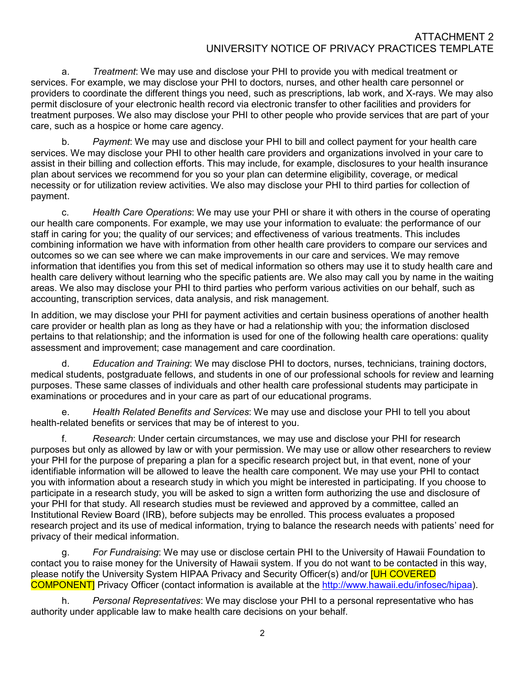a. Treatment: We may use and disclose your PHI to provide you with medical treatment or services. For example, we may disclose your PHI to doctors, nurses, and other health care personnel or providers to coordinate the different things you need, such as prescriptions, lab work, and X-rays. We may also permit disclosure of your electronic health record via electronic transfer to other facilities and providers for treatment purposes. We also may disclose your PHI to other people who provide services that are part of your care, such as a hospice or home care agency.

b. Payment: We may use and disclose your PHI to bill and collect payment for your health care services. We may disclose your PHI to other health care providers and organizations involved in your care to assist in their billing and collection efforts. This may include, for example, disclosures to your health insurance plan about services we recommend for you so your plan can determine eligibility, coverage, or medical necessity or for utilization review activities. We also may disclose your PHI to third parties for collection of payment.

 c. Health Care Operations: We may use your PHI or share it with others in the course of operating our health care components. For example, we may use your information to evaluate: the performance of our staff in caring for you; the quality of our services; and effectiveness of various treatments. This includes combining information we have with information from other health care providers to compare our services and outcomes so we can see where we can make improvements in our care and services. We may remove information that identifies you from this set of medical information so others may use it to study health care and health care delivery without learning who the specific patients are. We also may call you by name in the waiting areas. We also may disclose your PHI to third parties who perform various activities on our behalf, such as accounting, transcription services, data analysis, and risk management.

In addition, we may disclose your PHI for payment activities and certain business operations of another health care provider or health plan as long as they have or had a relationship with you; the information disclosed pertains to that relationship; and the information is used for one of the following health care operations: quality assessment and improvement; case management and care coordination.

d. Education and Training: We may disclose PHI to doctors, nurses, technicians, training doctors, medical students, postgraduate fellows, and students in one of our professional schools for review and learning purposes. These same classes of individuals and other health care professional students may participate in examinations or procedures and in your care as part of our educational programs.

 e. Health Related Benefits and Services: We may use and disclose your PHI to tell you about health-related benefits or services that may be of interest to you.

 f. Research: Under certain circumstances, we may use and disclose your PHI for research purposes but only as allowed by law or with your permission. We may use or allow other researchers to review your PHI for the purpose of preparing a plan for a specific research project but, in that event, none of your identifiable information will be allowed to leave the health care component. We may use your PHI to contact you with information about a research study in which you might be interested in participating. If you choose to participate in a research study, you will be asked to sign a written form authorizing the use and disclosure of your PHI for that study. All research studies must be reviewed and approved by a committee, called an Institutional Review Board (IRB), before subjects may be enrolled. This process evaluates a proposed research project and its use of medical information, trying to balance the research needs with patients' need for privacy of their medical information.

 g. For Fundraising: We may use or disclose certain PHI to the University of Hawaii Foundation to contact you to raise money for the University of Hawaii system. If you do not want to be contacted in this way, please notify the University System HIPAA Privacy and Security Officer(s) and/or **[UH COVERED** COMPONENT] Privacy Officer (contact information is available at the http://www.hawaii.edu/infosec/hipaa).

h. Personal Representatives: We may disclose your PHI to a personal representative who has authority under applicable law to make health care decisions on your behalf.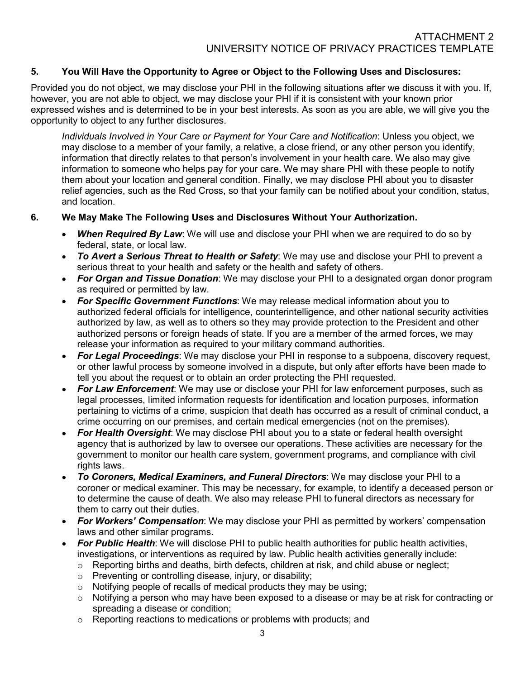## 5. You Will Have the Opportunity to Agree or Object to the Following Uses and Disclosures:

Provided you do not object, we may disclose your PHI in the following situations after we discuss it with you. If, however, you are not able to object, we may disclose your PHI if it is consistent with your known prior expressed wishes and is determined to be in your best interests. As soon as you are able, we will give you the opportunity to object to any further disclosures.

Individuals Involved in Your Care or Payment for Your Care and Notification: Unless you object, we may disclose to a member of your family, a relative, a close friend, or any other person you identify, information that directly relates to that person's involvement in your health care. We also may give information to someone who helps pay for your care. We may share PHI with these people to notify them about your location and general condition. Finally, we may disclose PHI about you to disaster relief agencies, such as the Red Cross, so that your family can be notified about your condition, status, and location.

#### 6. We May Make The Following Uses and Disclosures Without Your Authorization.

- When Required By Law: We will use and disclose your PHI when we are required to do so by federal, state, or local law.
- To Avert a Serious Threat to Health or Safety: We may use and disclose your PHI to prevent a serious threat to your health and safety or the health and safety of others.
- For Organ and Tissue Donation: We may disclose your PHI to a designated organ donor program as required or permitted by law.
- For Specific Government Functions: We may release medical information about you to authorized federal officials for intelligence, counterintelligence, and other national security activities authorized by law, as well as to others so they may provide protection to the President and other authorized persons or foreign heads of state. If you are a member of the armed forces, we may release your information as required to your military command authorities.
- For Legal Proceedings: We may disclose your PHI in response to a subpoena, discovery request, or other lawful process by someone involved in a dispute, but only after efforts have been made to tell you about the request or to obtain an order protecting the PHI requested.
- For Law Enforcement: We may use or disclose your PHI for law enforcement purposes, such as legal processes, limited information requests for identification and location purposes, information pertaining to victims of a crime, suspicion that death has occurred as a result of criminal conduct, a crime occurring on our premises, and certain medical emergencies (not on the premises).
- For Health Oversight: We may disclose PHI about you to a state or federal health oversight agency that is authorized by law to oversee our operations. These activities are necessary for the government to monitor our health care system, government programs, and compliance with civil rights laws.
- To Coroners, Medical Examiners, and Funeral Directors: We may disclose your PHI to a coroner or medical examiner. This may be necessary, for example, to identify a deceased person or to determine the cause of death. We also may release PHI to funeral directors as necessary for them to carry out their duties.
- For Workers' Compensation: We may disclose your PHI as permitted by workers' compensation laws and other similar programs.
- For Public Health: We will disclose PHI to public health authorities for public health activities, investigations, or interventions as required by law. Public health activities generally include:
	- $\circ$  Reporting births and deaths, birth defects, children at risk, and child abuse or neglect;
	- o Preventing or controlling disease, injury, or disability;
	- $\circ$  Notifying people of recalls of medical products they may be using;
	- o Notifying a person who may have been exposed to a disease or may be at risk for contracting or spreading a disease or condition;
	- o Reporting reactions to medications or problems with products; and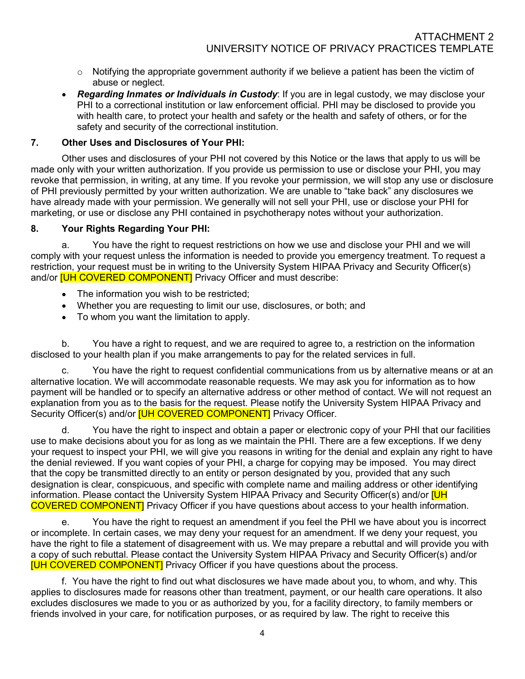- $\circ$  Notifving the appropriate government authority if we believe a patient has been the victim of abuse or neglect.
- Regarding Inmates or Individuals in Custody: If you are in legal custody, we may disclose your PHI to a correctional institution or law enforcement official. PHI may be disclosed to provide you with health care, to protect your health and safety or the health and safety of others, or for the safety and security of the correctional institution.

#### 7. Other Uses and Disclosures of Your PHI:

Other uses and disclosures of your PHI not covered by this Notice or the laws that apply to us will be made only with your written authorization. If you provide us permission to use or disclose your PHI, you may revoke that permission, in writing, at any time. If you revoke your permission, we will stop any use or disclosure of PHI previously permitted by your written authorization. We are unable to "take back" any disclosures we have already made with your permission. We generally will not sell your PHI, use or disclose your PHI for marketing, or use or disclose any PHI contained in psychotherapy notes without your authorization.

#### 8. Your Rights Regarding Your PHI:

a. You have the right to request restrictions on how we use and disclose your PHI and we will comply with your request unless the information is needed to provide you emergency treatment. To request a restriction, your request must be in writing to the University System HIPAA Privacy and Security Officer(s) and/or **[UH COVERED COMPONENT]** Privacy Officer and must describe:

- The information you wish to be restricted;
- Whether you are requesting to limit our use, disclosures, or both; and
- To whom you want the limitation to apply.

b. You have a right to request, and we are required to agree to, a restriction on the information disclosed to your health plan if you make arrangements to pay for the related services in full.

c. You have the right to request confidential communications from us by alternative means or at an alternative location. We will accommodate reasonable requests. We may ask you for information as to how payment will be handled or to specify an alternative address or other method of contact. We will not request an explanation from you as to the basis for the request. Please notify the University System HIPAA Privacy and Security Officer(s) and/or **[UH COVERED COMPONENT]** Privacy Officer.

You have the right to inspect and obtain a paper or electronic copy of your PHI that our facilities use to make decisions about you for as long as we maintain the PHI. There are a few exceptions. If we deny your request to inspect your PHI, we will give you reasons in writing for the denial and explain any right to have the denial reviewed. If you want copies of your PHI, a charge for copying may be imposed. You may direct that the copy be transmitted directly to an entity or person designated by you, provided that any such designation is clear, conspicuous, and specific with complete name and mailing address or other identifying information. Please contact the University System HIPAA Privacy and Security Officer(s) and/or **[UH** COVERED COMPONENT] Privacy Officer if you have questions about access to your health information.

e. You have the right to request an amendment if you feel the PHI we have about you is incorrect or incomplete. In certain cases, we may deny your request for an amendment. If we deny your request, you have the right to file a statement of disagreement with us. We may prepare a rebuttal and will provide you with a copy of such rebuttal. Please contact the University System HIPAA Privacy and Security Officer(s) and/or [UH COVERED COMPONENT] Privacy Officer if you have questions about the process.

f. You have the right to find out what disclosures we have made about you, to whom, and why. This applies to disclosures made for reasons other than treatment, payment, or our health care operations. It also excludes disclosures we made to you or as authorized by you, for a facility directory, to family members or friends involved in your care, for notification purposes, or as required by law. The right to receive this